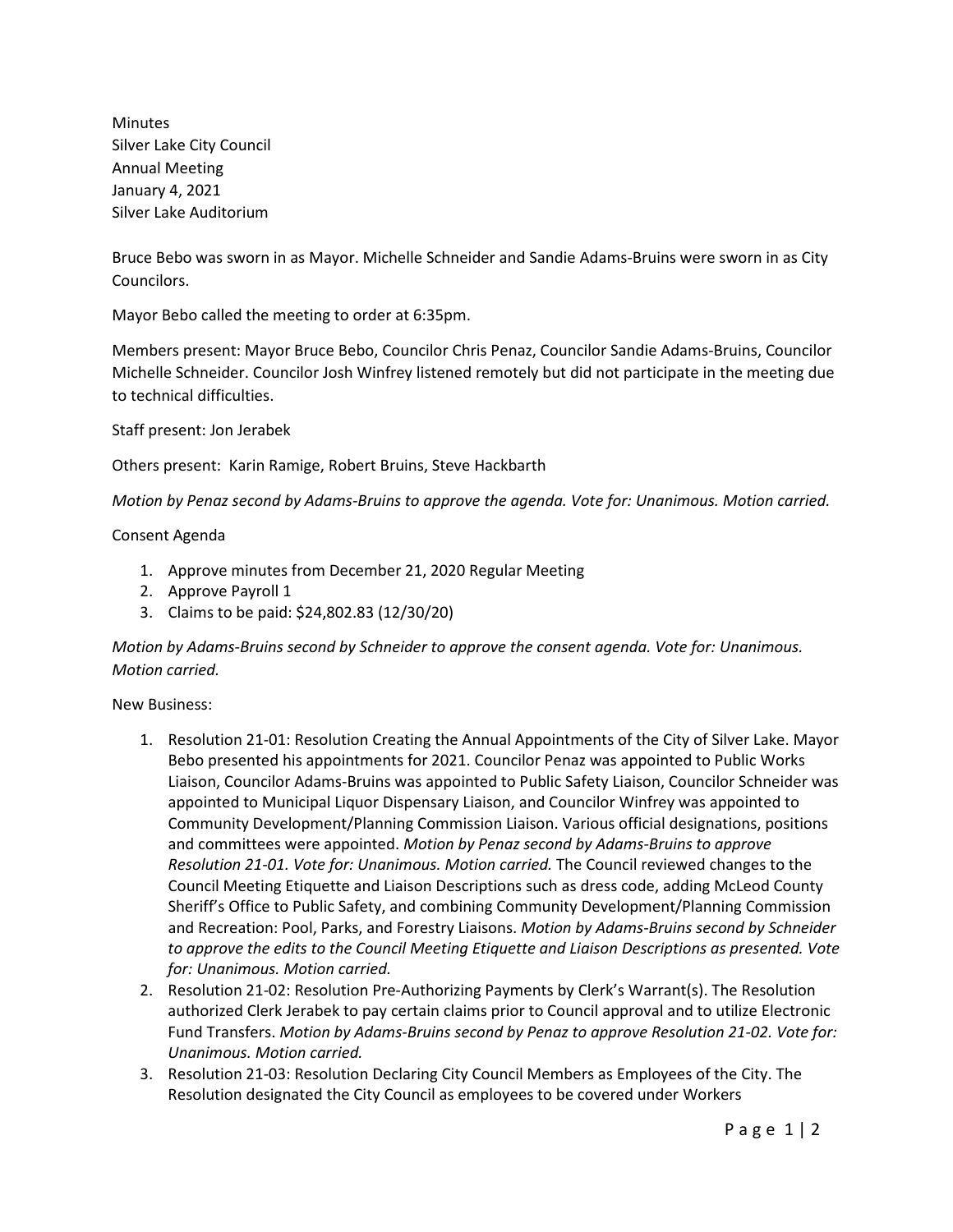Minutes Silver Lake City Council Annual Meeting January 4, 2021 Silver Lake Auditorium

Bruce Bebo was sworn in as Mayor. Michelle Schneider and Sandie Adams-Bruins were sworn in as City Councilors.

Mayor Bebo called the meeting to order at 6:35pm.

Members present: Mayor Bruce Bebo, Councilor Chris Penaz, Councilor Sandie Adams-Bruins, Councilor Michelle Schneider. Councilor Josh Winfrey listened remotely but did not participate in the meeting due to technical difficulties.

Staff present: Jon Jerabek

Others present: Karin Ramige, Robert Bruins, Steve Hackbarth

*Motion by Penaz second by Adams-Bruins to approve the agenda. Vote for: Unanimous. Motion carried.*

#### Consent Agenda

- 1. Approve minutes from December 21, 2020 Regular Meeting
- 2. Approve Payroll 1
- 3. Claims to be paid: \$24,802.83 (12/30/20)

*Motion by Adams-Bruins second by Schneider to approve the consent agenda. Vote for: Unanimous. Motion carried.*

#### New Business:

- 1. Resolution 21-01: Resolution Creating the Annual Appointments of the City of Silver Lake. Mayor Bebo presented his appointments for 2021. Councilor Penaz was appointed to Public Works Liaison, Councilor Adams-Bruins was appointed to Public Safety Liaison, Councilor Schneider was appointed to Municipal Liquor Dispensary Liaison, and Councilor Winfrey was appointed to Community Development/Planning Commission Liaison. Various official designations, positions and committees were appointed. *Motion by Penaz second by Adams-Bruins to approve Resolution 21-01. Vote for: Unanimous. Motion carried.* The Council reviewed changes to the Council Meeting Etiquette and Liaison Descriptions such as dress code, adding McLeod County Sheriff's Office to Public Safety, and combining Community Development/Planning Commission and Recreation: Pool, Parks, and Forestry Liaisons. *Motion by Adams-Bruins second by Schneider to approve the edits to the Council Meeting Etiquette and Liaison Descriptions as presented. Vote for: Unanimous. Motion carried.*
- 2. Resolution 21-02: Resolution Pre-Authorizing Payments by Clerk's Warrant(s). The Resolution authorized Clerk Jerabek to pay certain claims prior to Council approval and to utilize Electronic Fund Transfers. *Motion by Adams-Bruins second by Penaz to approve Resolution 21-02. Vote for: Unanimous. Motion carried.*
- 3. Resolution 21-03: Resolution Declaring City Council Members as Employees of the City. The Resolution designated the City Council as employees to be covered under Workers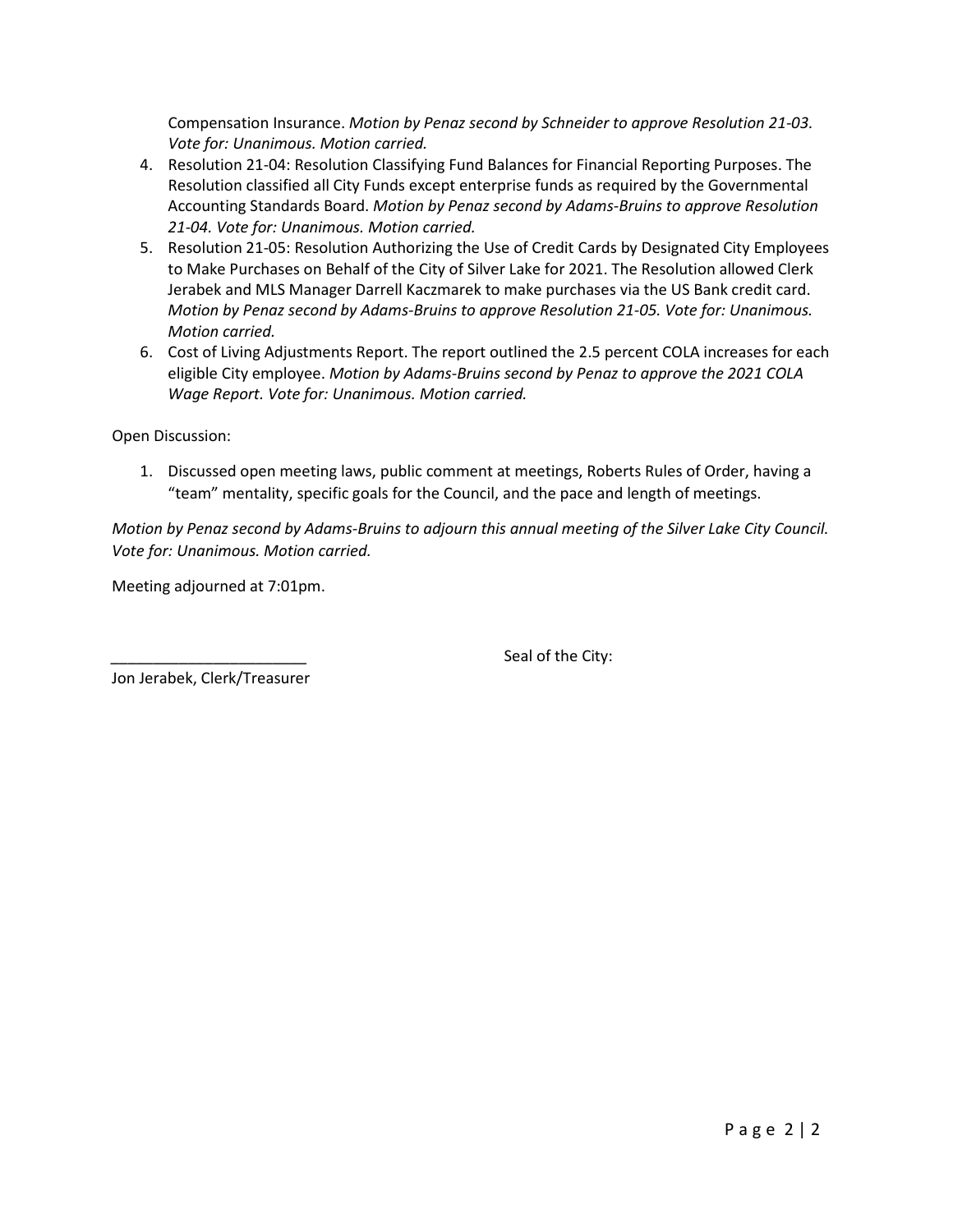Compensation Insurance. *Motion by Penaz second by Schneider to approve Resolution 21-03. Vote for: Unanimous. Motion carried.*

- 4. Resolution 21-04: Resolution Classifying Fund Balances for Financial Reporting Purposes. The Resolution classified all City Funds except enterprise funds as required by the Governmental Accounting Standards Board. *Motion by Penaz second by Adams-Bruins to approve Resolution 21-04. Vote for: Unanimous. Motion carried.*
- 5. Resolution 21-05: Resolution Authorizing the Use of Credit Cards by Designated City Employees to Make Purchases on Behalf of the City of Silver Lake for 2021. The Resolution allowed Clerk Jerabek and MLS Manager Darrell Kaczmarek to make purchases via the US Bank credit card. *Motion by Penaz second by Adams-Bruins to approve Resolution 21-05. Vote for: Unanimous. Motion carried.*
- 6. Cost of Living Adjustments Report. The report outlined the 2.5 percent COLA increases for each eligible City employee. *Motion by Adams-Bruins second by Penaz to approve the 2021 COLA Wage Report. Vote for: Unanimous. Motion carried.*

Open Discussion:

1. Discussed open meeting laws, public comment at meetings, Roberts Rules of Order, having a "team" mentality, specific goals for the Council, and the pace and length of meetings.

*Motion by Penaz second by Adams-Bruins to adjourn this annual meeting of the Silver Lake City Council. Vote for: Unanimous. Motion carried.*

Meeting adjourned at 7:01pm.

Seal of the City:

Jon Jerabek, Clerk/Treasurer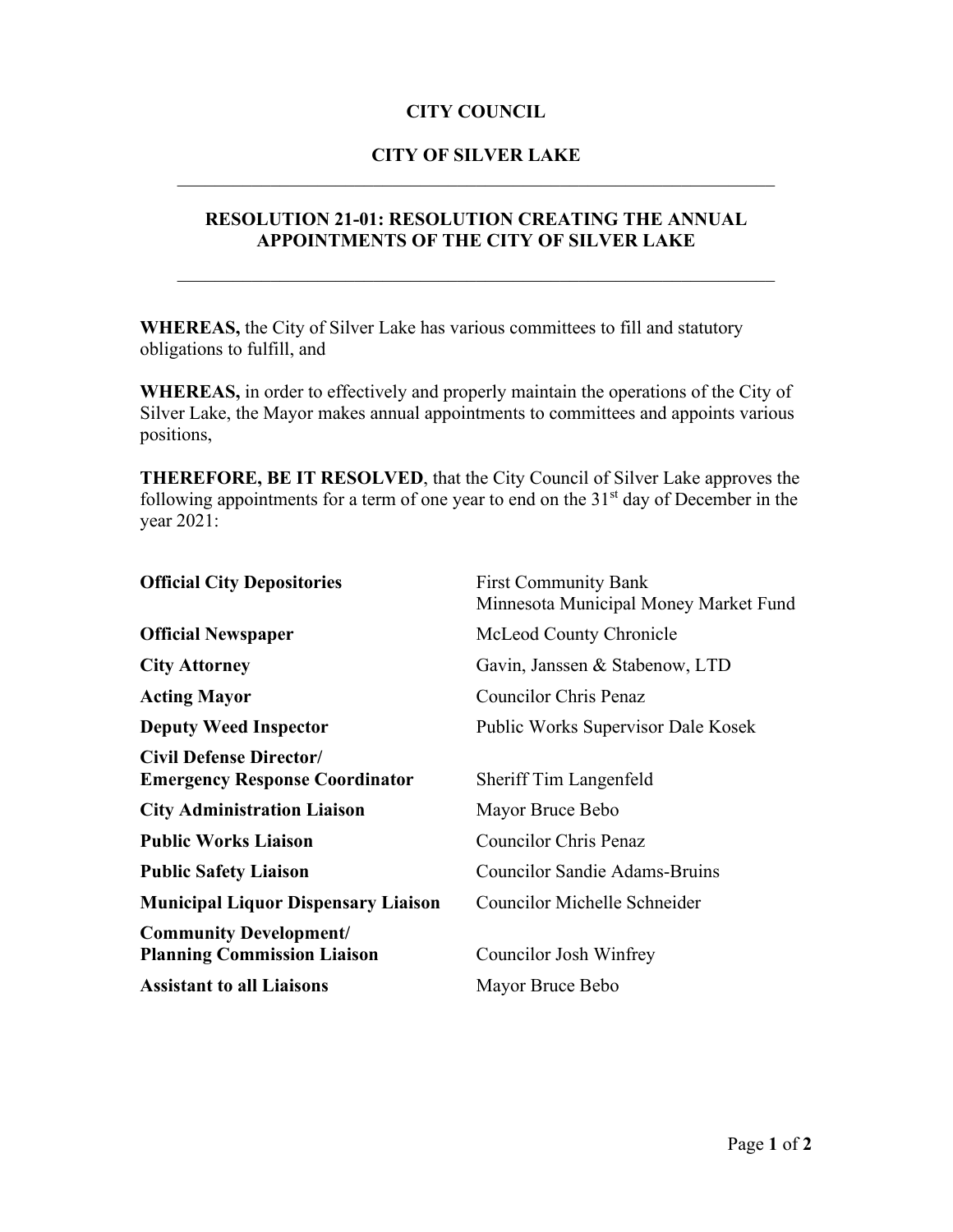## **CITY OF SILVER LAKE** \_\_\_\_\_\_\_\_\_\_\_\_\_\_\_\_\_\_\_\_\_\_\_\_\_\_\_\_\_\_\_\_\_\_\_\_\_\_\_\_\_\_\_\_\_\_\_\_\_\_\_\_\_\_\_\_\_\_\_\_\_\_\_\_

## **RESOLUTION 21-01: RESOLUTION CREATING THE ANNUAL APPOINTMENTS OF THE CITY OF SILVER LAKE**

\_\_\_\_\_\_\_\_\_\_\_\_\_\_\_\_\_\_\_\_\_\_\_\_\_\_\_\_\_\_\_\_\_\_\_\_\_\_\_\_\_\_\_\_\_\_\_\_\_\_\_\_\_\_\_\_\_\_\_\_\_\_\_\_

**WHEREAS,** the City of Silver Lake has various committees to fill and statutory obligations to fulfill, and

**WHEREAS,** in order to effectively and properly maintain the operations of the City of Silver Lake, the Mayor makes annual appointments to committees and appoints various positions,

**THEREFORE, BE IT RESOLVED**, that the City Council of Silver Lake approves the following appointments for a term of one year to end on the  $31<sup>st</sup>$  day of December in the year 2021:

| <b>Official City Depositories</b>                                       | <b>First Community Bank</b><br>Minnesota Municipal Money Market Fund |  |
|-------------------------------------------------------------------------|----------------------------------------------------------------------|--|
| <b>Official Newspaper</b>                                               | McLeod County Chronicle                                              |  |
| <b>City Attorney</b>                                                    | Gavin, Janssen & Stabenow, LTD                                       |  |
| <b>Acting Mayor</b>                                                     | <b>Councilor Chris Penaz</b>                                         |  |
| <b>Deputy Weed Inspector</b>                                            | Public Works Supervisor Dale Kosek                                   |  |
| <b>Civil Defense Director/</b><br><b>Emergency Response Coordinator</b> | Sheriff Tim Langenfeld                                               |  |
| <b>City Administration Liaison</b>                                      | Mayor Bruce Bebo                                                     |  |
| <b>Public Works Liaison</b>                                             | <b>Councilor Chris Penaz</b>                                         |  |
| <b>Public Safety Liaison</b>                                            | <b>Councilor Sandie Adams-Bruins</b>                                 |  |
| <b>Municipal Liquor Dispensary Liaison</b>                              | Councilor Michelle Schneider                                         |  |
| <b>Community Development/</b><br><b>Planning Commission Liaison</b>     | Councilor Josh Winfrey                                               |  |
| <b>Assistant to all Liaisons</b>                                        | Mayor Bruce Bebo                                                     |  |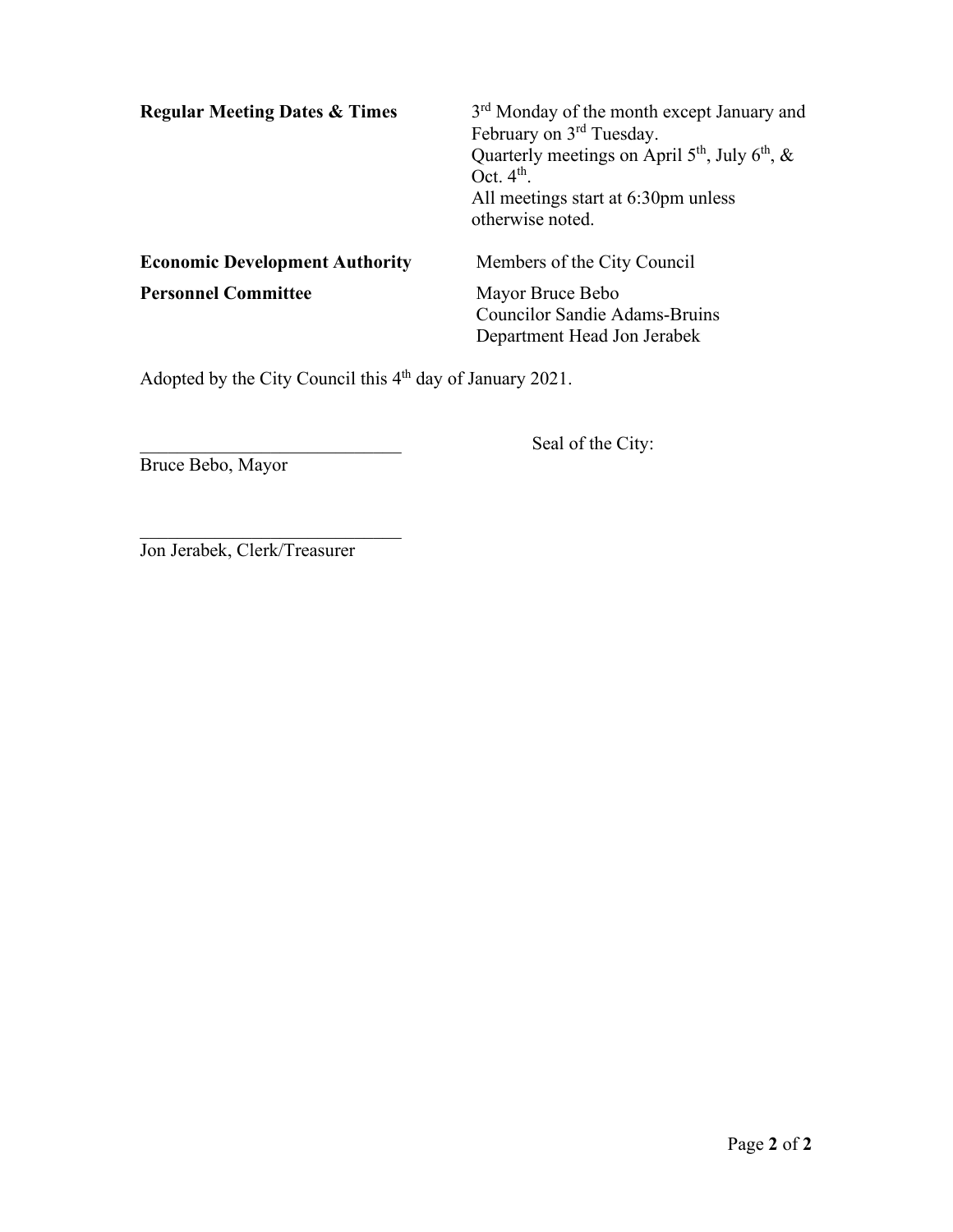| <b>Regular Meeting Dates &amp; Times</b> | 3 <sup>rd</sup> Monday of the month except January and<br>February on 3 <sup>rd</sup> Tuesday.<br>Quarterly meetings on April $5th$ , July $6th$ , &<br>Oct. $4th$ .<br>All meetings start at 6:30pm unless<br>otherwise noted. |
|------------------------------------------|---------------------------------------------------------------------------------------------------------------------------------------------------------------------------------------------------------------------------------|
| <b>Economic Development Authority</b>    | Members of the City Council                                                                                                                                                                                                     |
| <b>Personnel Committee</b>               | Mayor Bruce Bebo<br><b>Councilor Sandie Adams-Bruins</b><br>Department Head Jon Jerabek                                                                                                                                         |

Adopted by the City Council this 4<sup>th</sup> day of January 2021.

Bruce Bebo, Mayor

Seal of the City:

 $\overline{\phantom{a}}$  , and the set of the set of the set of the set of the set of the set of the set of the set of the set of the set of the set of the set of the set of the set of the set of the set of the set of the set of the s Jon Jerabek, Clerk/Treasurer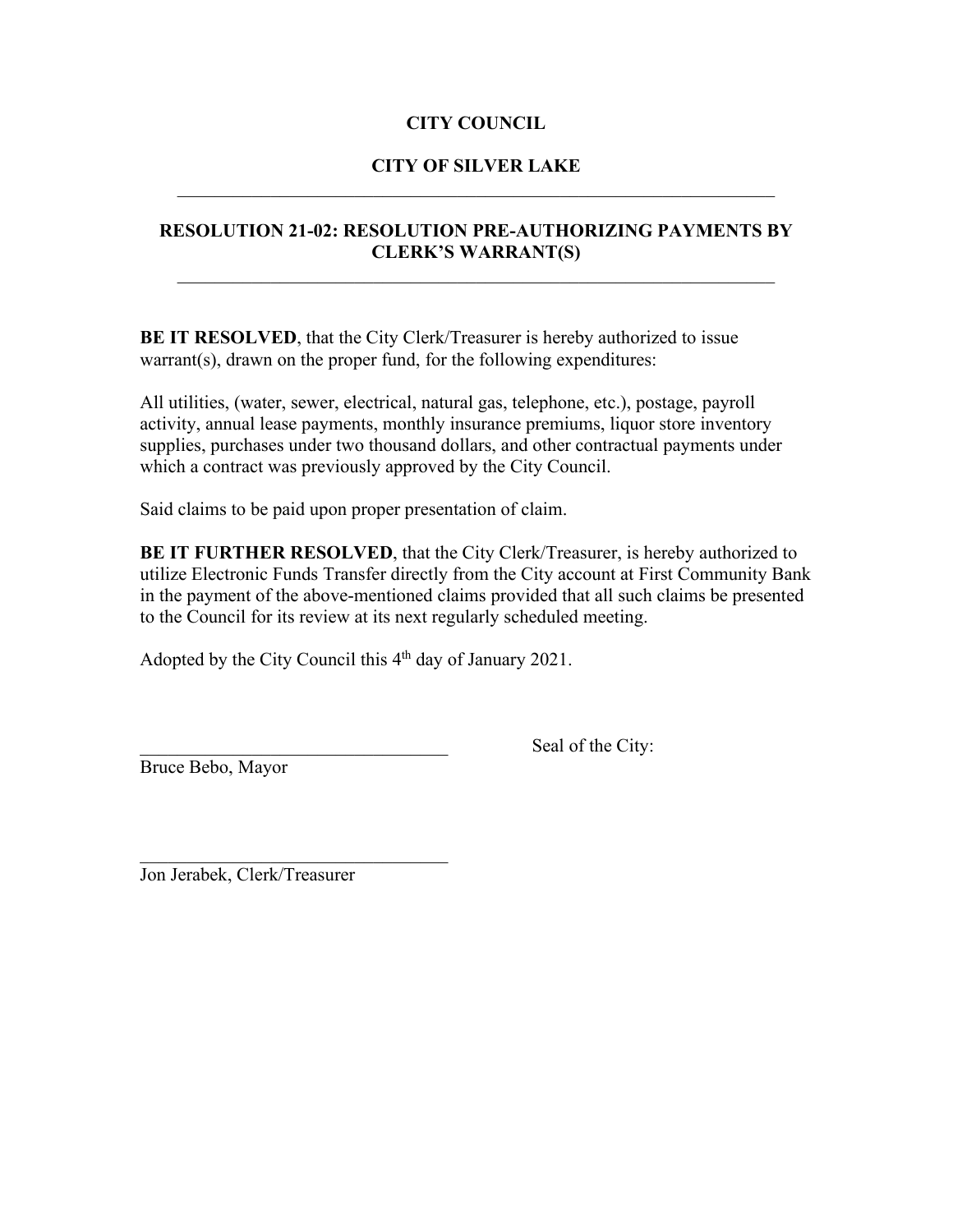## **CITY OF SILVER LAKE** \_\_\_\_\_\_\_\_\_\_\_\_\_\_\_\_\_\_\_\_\_\_\_\_\_\_\_\_\_\_\_\_\_\_\_\_\_\_\_\_\_\_\_\_\_\_\_\_\_\_\_\_\_\_\_\_\_\_\_\_\_\_\_\_

## **RESOLUTION 21-02: RESOLUTION PRE-AUTHORIZING PAYMENTS BY CLERK'S WARRANT(S)**

**BE IT RESOLVED**, that the City Clerk/Treasurer is hereby authorized to issue warrant(s), drawn on the proper fund, for the following expenditures:

All utilities, (water, sewer, electrical, natural gas, telephone, etc.), postage, payroll activity, annual lease payments, monthly insurance premiums, liquor store inventory supplies, purchases under two thousand dollars, and other contractual payments under which a contract was previously approved by the City Council.

Said claims to be paid upon proper presentation of claim.

**BE IT FURTHER RESOLVED**, that the City Clerk/Treasurer, is hereby authorized to utilize Electronic Funds Transfer directly from the City account at First Community Bank in the payment of the above-mentioned claims provided that all such claims be presented to the Council for its review at its next regularly scheduled meeting.

Adopted by the City Council this 4<sup>th</sup> day of January 2021.

Bruce Bebo, Mayor

Seal of the City:

Jon Jerabek, Clerk/Treasurer

 $\mathcal{L}$  , which is a set of the set of the set of the set of the set of the set of the set of the set of the set of the set of the set of the set of the set of the set of the set of the set of the set of the set of the s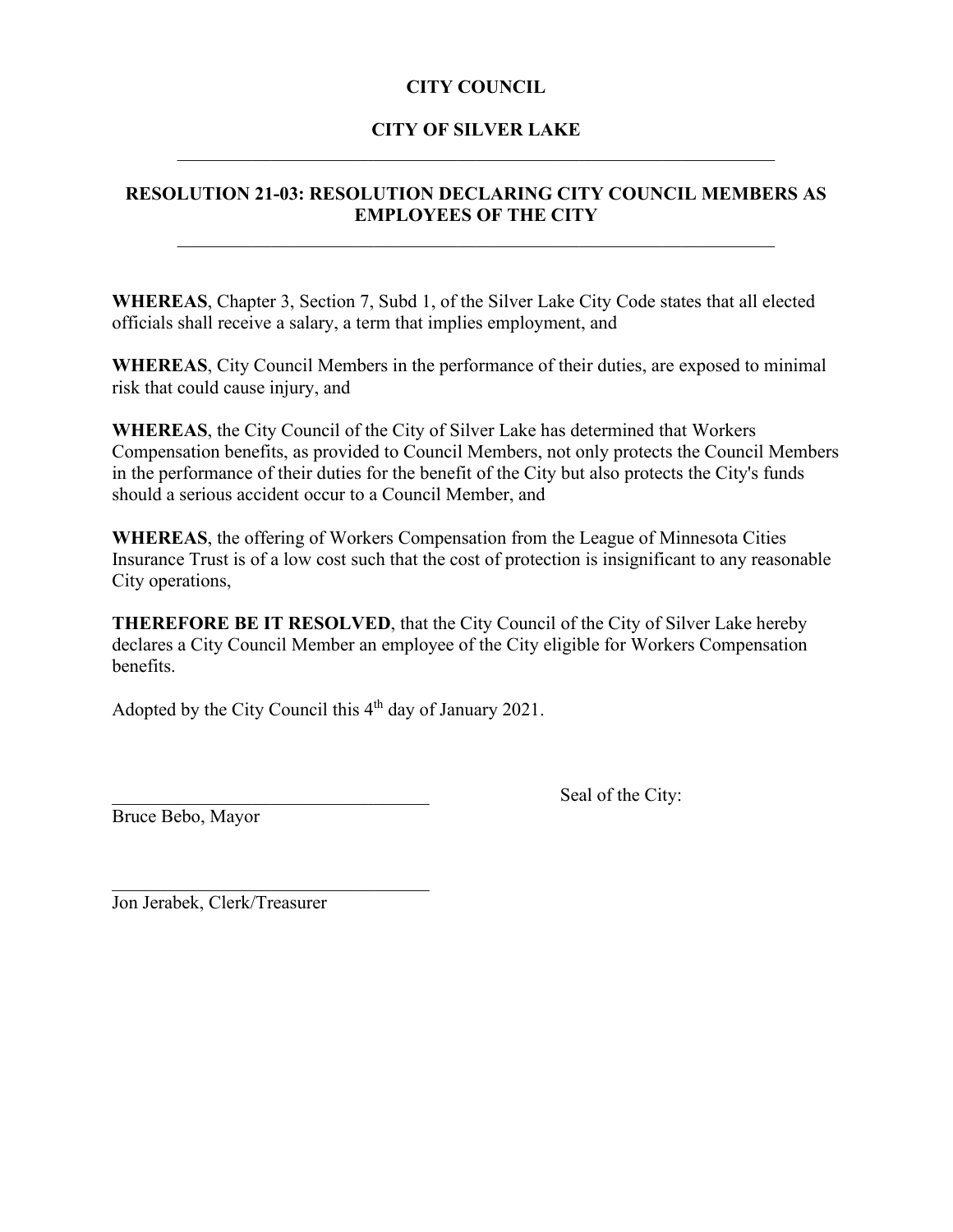# **CITY OF SILVER LAKE** \_\_\_\_\_\_\_\_\_\_\_\_\_\_\_\_\_\_\_\_\_\_\_\_\_\_\_\_\_\_\_\_\_\_\_\_\_\_\_\_\_\_\_\_\_\_\_\_\_\_\_\_\_\_\_\_\_\_\_\_\_\_\_\_

## **RESOLUTION 21-03: RESOLUTION DECLARING CITY COUNCIL MEMBERS AS EMPLOYEES OF THE CITY**

\_\_\_\_\_\_\_\_\_\_\_\_\_\_\_\_\_\_\_\_\_\_\_\_\_\_\_\_\_\_\_\_\_\_\_\_\_\_\_\_\_\_\_\_\_\_\_\_\_\_\_\_\_\_\_\_\_\_\_\_\_\_\_\_

**WHEREAS**, Chapter 3, Section 7, Subd 1, of the Silver Lake City Code states that all elected officials shall receive a salary, a term that implies employment, and

**WHEREAS**, City Council Members in the performance of their duties, are exposed to minimal risk that could cause injury, and

**WHEREAS**, the City Council of the City of Silver Lake has determined that Workers Compensation benefits, as provided to Council Members, not only protects the Council Members in the performance of their duties for the benefit of the City but also protects the City's funds should a serious accident occur to a Council Member, and

**WHEREAS**, the offering of Workers Compensation from the League of Minnesota Cities Insurance Trust is of a low cost such that the cost of protection is insignificant to any reasonable City operations,

**THEREFORE BE IT RESOLVED**, that the City Council of the City of Silver Lake hereby declares a City Council Member an employee of the City eligible for Workers Compensation benefits.

Adopted by the City Council this  $4<sup>th</sup>$  day of January 2021.

Bruce Bebo, Mayor

Seal of the City:

Jon Jerabek, Clerk/Treasurer

 $\mathcal{L}_\mathcal{L}$  , where  $\mathcal{L}_\mathcal{L}$  , we have the set of the set of the set of the set of the set of the set of the set of the set of the set of the set of the set of the set of the set of the set of the set of the set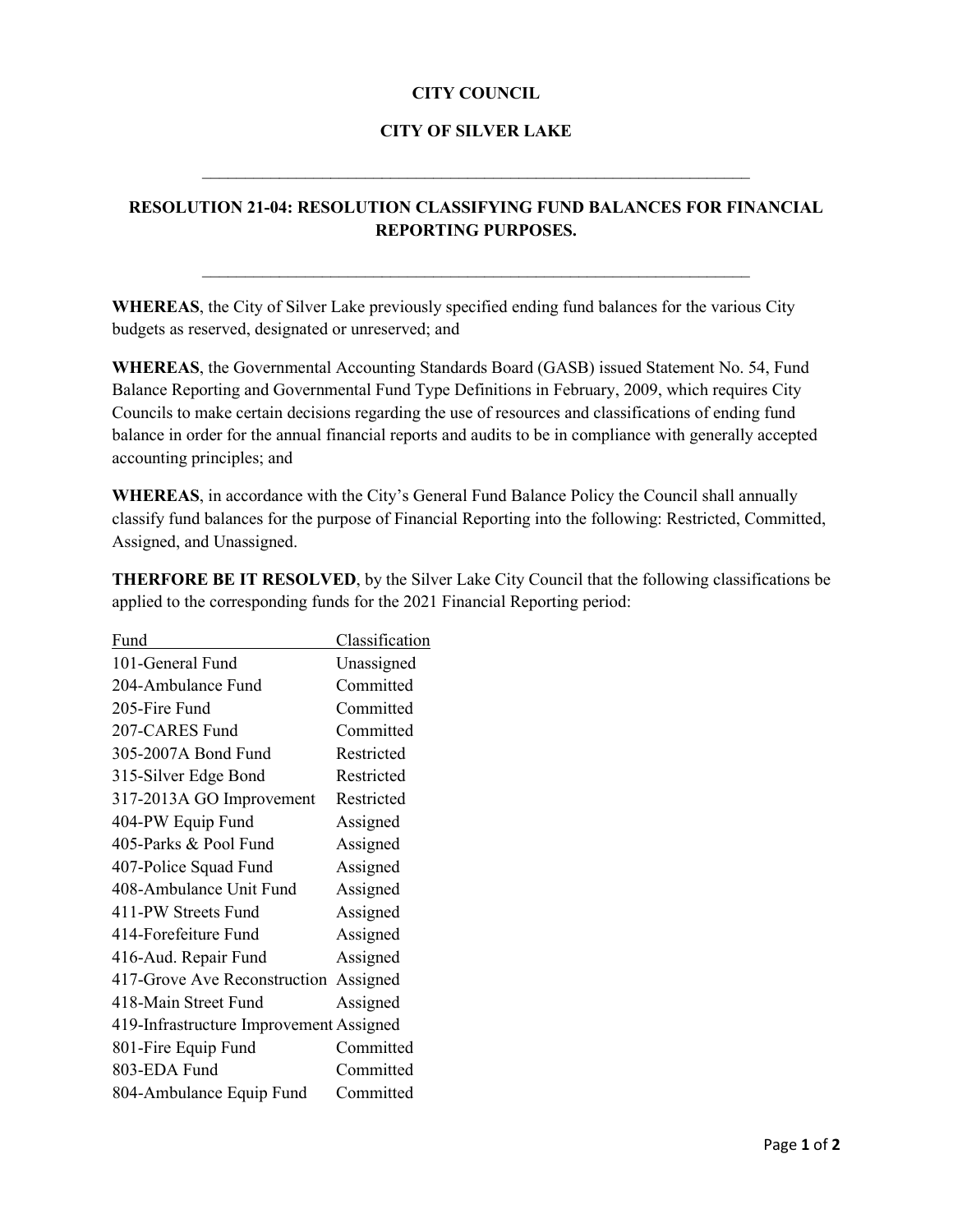#### **CITY OF SILVER LAKE**

 $\mathcal{L}_\mathcal{L}$  , and the contribution of the contribution of the contribution of the contribution of the contribution of the contribution of the contribution of the contribution of the contribution of the contribution of

## **RESOLUTION 21-04: RESOLUTION CLASSIFYING FUND BALANCES FOR FINANCIAL REPORTING PURPOSES.**

\_\_\_\_\_\_\_\_\_\_\_\_\_\_\_\_\_\_\_\_\_\_\_\_\_\_\_\_\_\_\_\_\_\_\_\_\_\_\_\_\_\_\_\_\_\_\_\_\_\_\_\_\_\_\_\_\_\_\_\_\_\_\_\_

**WHEREAS**, the City of Silver Lake previously specified ending fund balances for the various City budgets as reserved, designated or unreserved; and

**WHEREAS**, the Governmental Accounting Standards Board (GASB) issued Statement No. 54, Fund Balance Reporting and Governmental Fund Type Definitions in February, 2009, which requires City Councils to make certain decisions regarding the use of resources and classifications of ending fund balance in order for the annual financial reports and audits to be in compliance with generally accepted accounting principles; and

**WHEREAS**, in accordance with the City's General Fund Balance Policy the Council shall annually classify fund balances for the purpose of Financial Reporting into the following: Restricted, Committed, Assigned, and Unassigned.

**THERFORE BE IT RESOLVED**, by the Silver Lake City Council that the following classifications be applied to the corresponding funds for the 2021 Financial Reporting period:

| Fund                                    | Classification |
|-----------------------------------------|----------------|
| 101-General Fund                        | Unassigned     |
| 204-Ambulance Fund                      | Committed      |
| 205-Fire Fund                           | Committed      |
| 207-CARES Fund                          | Committed      |
| 305-2007A Bond Fund                     | Restricted     |
| 315-Silver Edge Bond                    | Restricted     |
| 317-2013A GO Improvement                | Restricted     |
| 404-PW Equip Fund                       | Assigned       |
| 405-Parks & Pool Fund                   | Assigned       |
| 407-Police Squad Fund                   | Assigned       |
| 408-Ambulance Unit Fund                 | Assigned       |
| 411-PW Streets Fund                     | Assigned       |
| 414-Forefeiture Fund                    | Assigned       |
| 416-Aud. Repair Fund                    | Assigned       |
| 417-Grove Ave Reconstruction            | Assigned       |
| 418-Main Street Fund                    | Assigned       |
| 419-Infrastructure Improvement Assigned |                |
| 801-Fire Equip Fund                     | Committed      |
| 803-EDA Fund                            | Committed      |
| 804-Ambulance Equip Fund                | Committed      |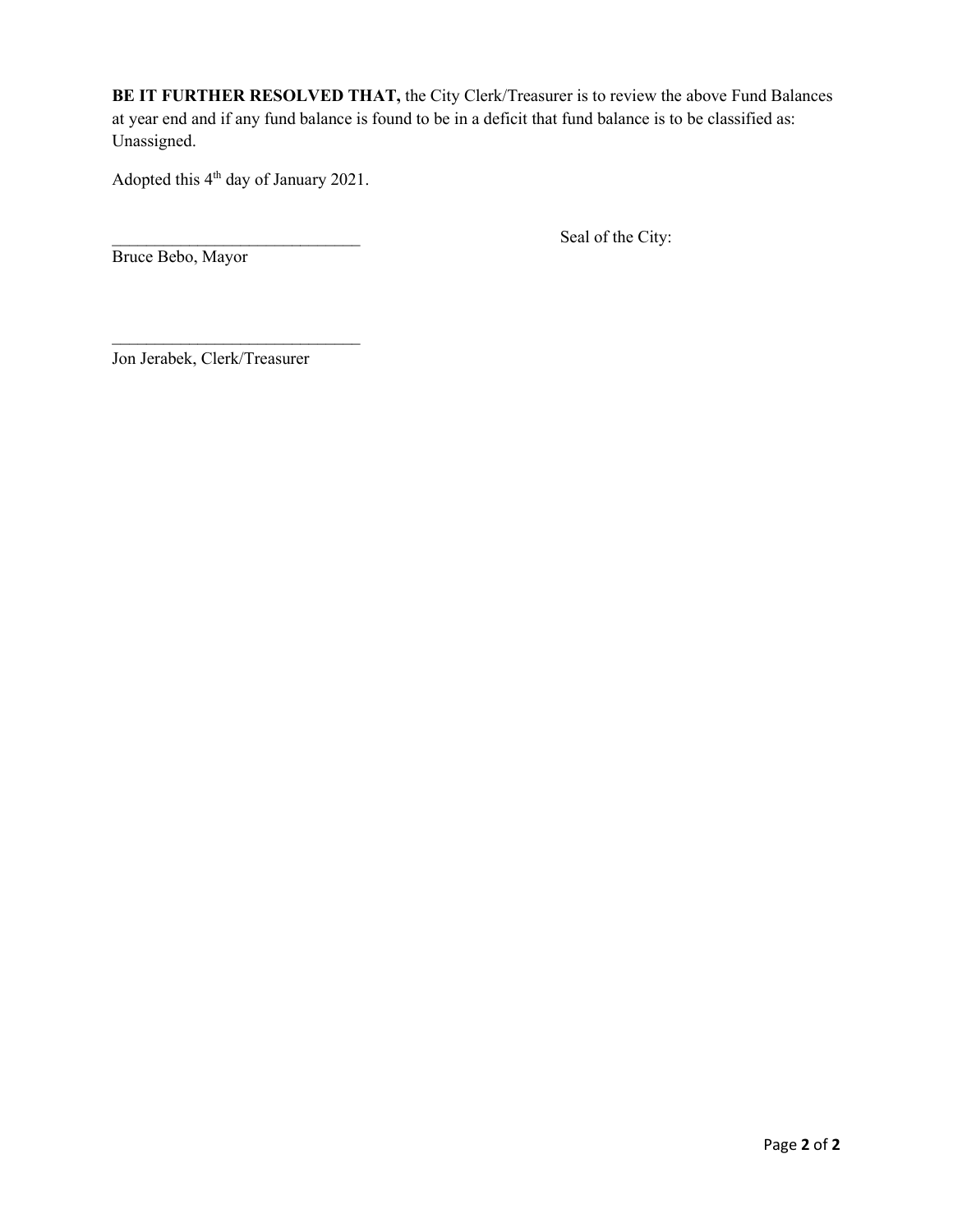**BE IT FURTHER RESOLVED THAT,** the City Clerk/Treasurer is to review the above Fund Balances at year end and if any fund balance is found to be in a deficit that fund balance is to be classified as: Unassigned.

Adopted this 4<sup>th</sup> day of January 2021.

Seal of the City:

Bruce Bebo, Mayor

Jon Jerabek, Clerk/Treasurer

 $\mathcal{L}_\text{max}$  , where  $\mathcal{L}_\text{max}$  , we have the set of the set of the set of the set of the set of the set of the set of the set of the set of the set of the set of the set of the set of the set of the set of the set of